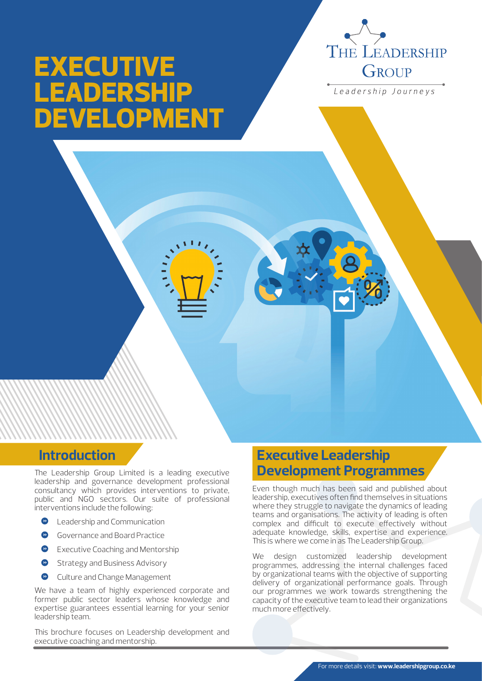

Leadership Journeys

# **EXECUTIVE LEADERSHIP DEVELOPMENT**

# **Introduction**

The Leadership Group Limited is a leading executive leadership and governance development professional consultancy which provides interventions to private, public and NGO sectors. Our suite of professional interventions include the following:

- $\bullet$ Leadership and Communication
- Governance and Board Practice
- Executive Coaching and Mentorship
- Strategy and Business Advisory
- Culture and Change Management

We have a team of highly experienced corporate and former public sector leaders whose knowledge and expertise guarantees essential learning for your senior leadership team.

This brochure focuses on Leadership development and executive coaching and mentorship.

# **Executive Leadership Development Programmes**

Even though much has been said and published about leadership, executives often find themselves in situations where they struggle to navigate the dynamics of leading teams and organisations. The activity of leading is often complex and difficult to execute effectively without adequate knowledge, skills, expertise and experience. This is where we come in as The Leadership Group.

We design customized leadership development programmes, addressing the internal challenges faced by organizational teams with the objective of supporting delivery of organizational performance goals. Through our programmes we work towards strengthening the capacity of the executive team to lead their organizations much more effectively.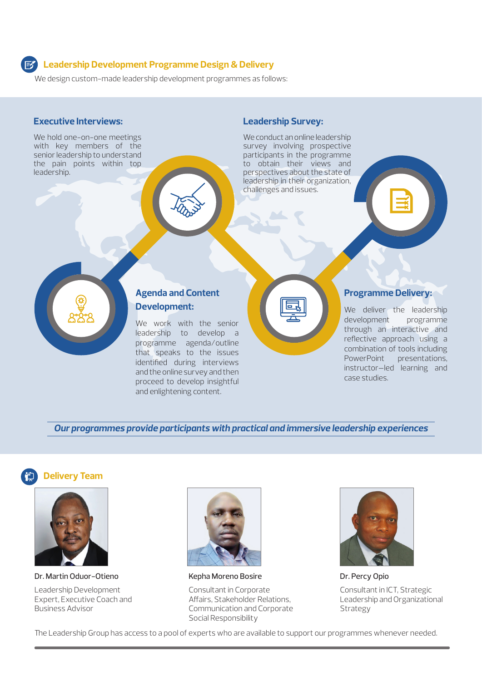## **Leadership Development Programme Design & Delivery**

We design custom-made leadership development programmes as follows:

### **Executive Interviews:**

We hold one-on-one meetings with key members of the senior leadership to understand the pain points within top leadership.

### **Leadership Survey:**

We conduct an online leadership survey involving prospective participants in the programme to obtain their views and perspectives about the state of leadership in their organization, challenges and issues.



## **Agenda and Content Development:**

We work with the senior leadership to develop a programme agenda/outline that speaks to the issues identified during interviews and the online survey and then proceed to develop insightful and enlightening content.



#### **Programme Delivery:**

We deliver the leadership development programme through an interactive and reflective approach using a combination of tools including PowerPoint presentations, instructor—led learning and case studies.

*Our programmes provide participants with practical and immersive leadership experiences*





Dr. Martin Oduor-Otieno

Leadership Development Expert, Executive Coach and Business Advisor



Kepha Moreno Bosire

Consultant in Corporate Affairs, Stakeholder Relations, Communication and Corporate Social Responsibility



Dr. Percy Opio Consultant in ICT, Strategic Leadership and Organizational Strategy

The Leadership Group has access to a pool of experts who are available to support our programmes whenever needed.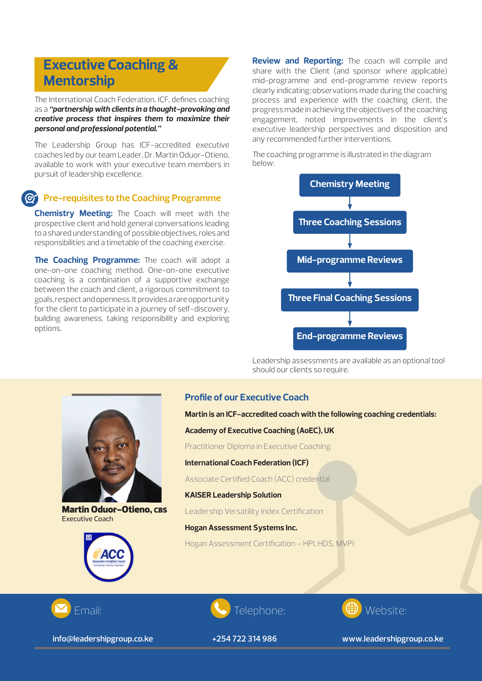# **Executive Coaching & Mentorship**

The International Coach Federation, ICF, defines coaching as a *"partnership with clients in a thought-provoking and creative process that inspires them to maximize their personal and professional potential."*

The Leadership Group has ICF-accredited executive coaches led by our team Leader, Dr. Martin Oduor-Otieno, available to work with your executive team members in pursuit of leadership excellence.

## **Pre-requisites to the Coaching Programme**

**Chemistry Meeting:** The Coach will meet with the prospective client and hold general conversations leading to a shared understanding of possible objectives, roles and responsibilities and a timetable of the coaching exercise.

**The Coaching Programme:** The coach will adopt a one-on-one coaching method. One-on-one executive coaching is a combination of a supportive exchange between the coach and client, a rigorous commitment to goals, respect and openness. It provides a rare opportunity for the client to participate in a journey of self-discovery, building awareness, taking responsibility and exploring options.



Martin Oduor-Otieno, CBS Executive Coach



**Review and Reporting:** The coach will compile and share with the Client (and sponsor where applicable) mid-programme and end-programme review reports clearly indicating: observations made during the coaching process and experience with the coaching client, the progress made in achieving the objectives of the coaching engagement, noted improvements in the client's executive leadership perspectives and disposition and any recommended further interventions.

The coaching programme is illustrated in the diagram below:



Leadership assessments are available as an optional tool should our clients so require.

#### **Profile of our Executive Coach**

**Martin is an ICF-accredited coach with the following coaching credentials:**

**Academy of Executive Coaching (AoEC), UK**

Practitioner Diploma in Executive Coaching

**International Coach Federation (ICF)**

Associate Certified Coach (ACC) credential

**KAISER Leadership Solution** 

Leadership Versatility Index Certification

**Hogan Assessment Systems Inc.**

Hogan Assessment Certification – HPI, HDS, MVPI



 **info@leadershipgroup.co.ke**





 **+254 722 314 986**

**www.leadershipgroup.co.ke**